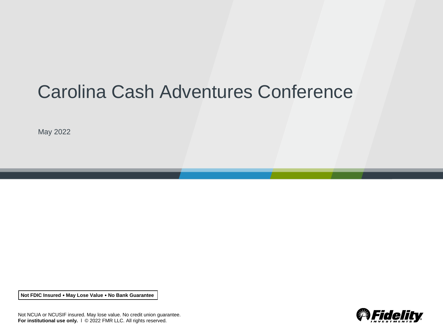# Carolina Cash Adventures Conference

May 2022

**Not FDIC Insured May Lose Value No Bank Guarantee**



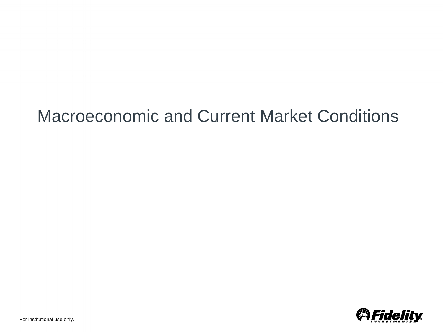# Macroeconomic and Current Market Conditions

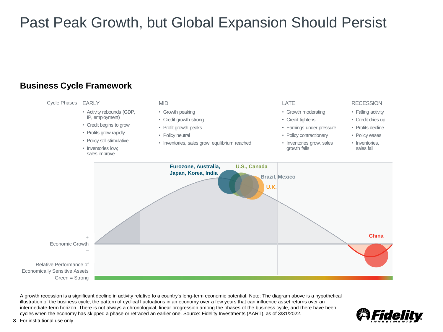# Past Peak Growth, but Global Expansion Should Persist

#### **Business Cycle Framework**



A growth recession is a significant decline in activity relative to a country's long-term economic potential. Note: The diagram above is a hypothetical illustration of the business cycle, the pattern of cyclical fluctuations in an economy over a few years that can influence asset returns over an intermediate-term horizon. There is not always a chronological, linear progression among the phases of the business cycle, and there have been cycles when the economy has skipped a phase or retraced an earlier one. Source: Fidelity Investments (AART), as of 3/31/2022.

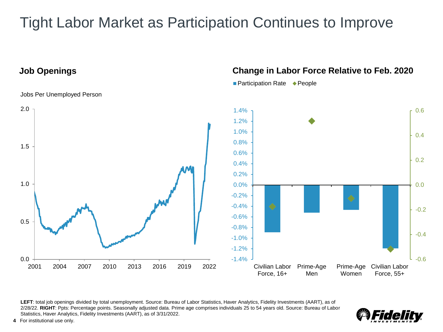# Tight Labor Market as Participation Continues to Improve

Jobs Per Unemployed Person

### **Job Openings Change in Labor Force Relative to Feb. 2020**

■ Participation Rate ◆ People



LEFT: total job openings divided by total unemployment. Source: Bureau of Labor Statistics, Haver Analytics, Fidelity Investments (AART), as of 2/28/22. **RIGHT**: Ppts: Percentage points. Seasonally adjusted data. Prime age comprises individuals 25 to 54 years old. Source: Bureau of Labor Statistics, Haver Analytics, Fidelity Investments (AART), as of 3/31/2022.

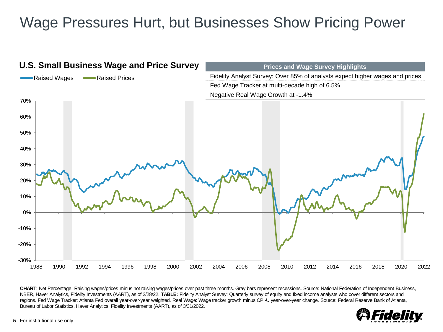# Wage Pressures Hurt, but Businesses Show Pricing Power



**CHART**: Net Percentage: Raising wages/prices minus not raising wages/prices over past three months. Gray bars represent recessions. Source: National Federation of Independent Business, NBER, Haver Analytics, Fidelity Investments (AART), as of 2/28/22. **TABLE:** Fidelity Analyst Survey: Quarterly survey of equity and fixed income analysts who cover different sectors and regions. Fed Wage Tracker: Atlanta Fed overall year-over-year weighted. Real Wage: Wage tracker growth minus CPI-U year-over-year change. Source: Federal Reserve Bank of Atlanta, Bureau of Labor Statistics, Haver Analytics, Fidelity Investments (AART), as of 3/31/2022.

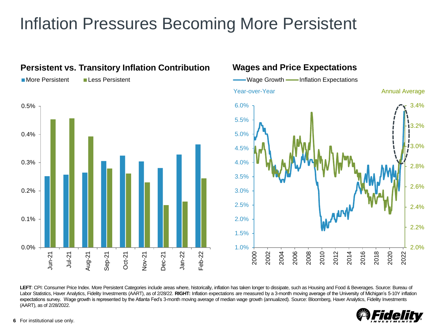# Inflation Pressures Becoming More Persistent



LEFT: CPI: Consumer Price Index. More Persistent Categories include areas where, historically, inflation has taken longer to dissipate, such as Housing and Food & Beverages. Source: Bureau of Labor Statistics, Haver Analytics, Fidelity Investments (AART), as of 2/28/22. **RIGHT:** Inflation expectations are measured by a 3-month moving average of the University of Michigan's 5-10Y inflation expectations survey. Wage growth is represented by the Atlanta Fed's 3-month moving average of median wage growth (annualized). Source: Bloomberg, Haver Analytics, Fidelity Investments (AART), as of 2/28/2022.

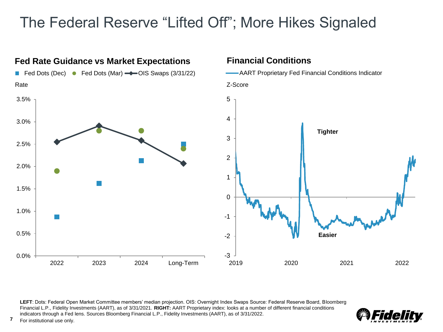# The Federal Reserve "Lifted Off"; More Hikes Signaled



**LEFT**: Dots: Federal Open Market Committee members' median projection. OIS: Overnight Index Swaps Source: Federal Reserve Board, Bloomberg Financial L.P., Fidelity Investments (AART), as of 3/31/2021. **RIGHT:** AART Proprietary index: looks at a number of different financial conditions indicators through a Fed lens. Sources Bloomberg Financial L.P., Fidelity Investments (AART), as of 3/31/2022.

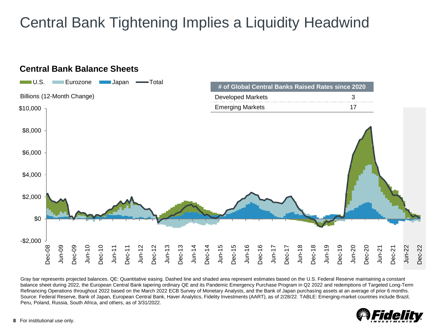# Central Bank Tightening Implies a Liquidity Headwind



Gray bar represents projected balances. QE: Quantitative easing. Dashed line and shaded area represent estimates based on the U.S. Federal Reserve maintaining a constant balance sheet during 2022, the European Central Bank tapering ordinary QE and its Pandemic Emergency Purchase Program in Q2 2022 and redemptions of Targeted Long-Term Refinancing Operations throughout 2022 based on the March 2022 ECB Survey of Monetary Analysts, and the Bank of Japan purchasing assets at an average of prior 6 months. Source: Federal Reserve, Bank of Japan, European Central Bank, Haver Analytics, Fidelity Investments (AART), as of 2/28/22. TABLE: Emerging-market countries include Brazil, Peru, Poland, Russia, South Africa, and others, as of 3/31/2022.

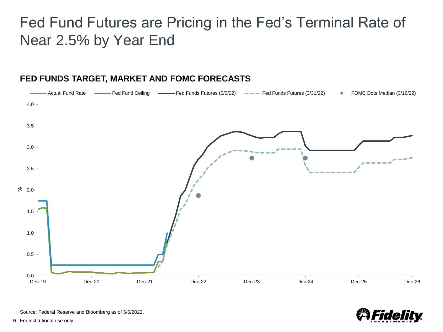# Fed Fund Futures are Pricing in the Fed's Terminal Rate of Near 2.5% by Year End



#### **FED FUNDS TARGET, MARKET AND FOMC FORECASTS**

idel

Source: Federal Reserve and Bloomberg as of 5/5/2022.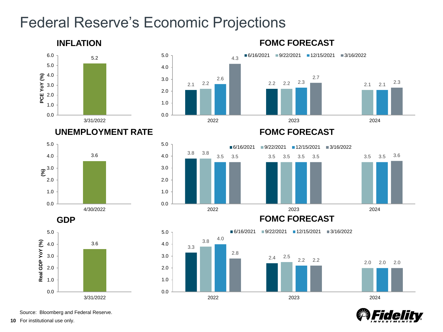## Federal Reserve's Economic Projections



Fide

Source: Bloomberg and Federal Reserve.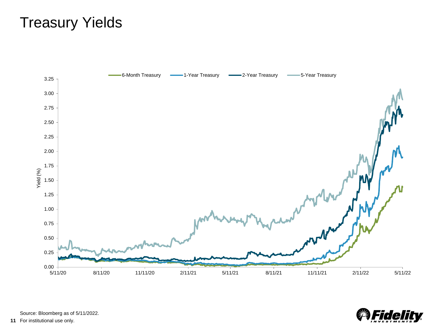# Treasury Yields





Source: Bloomberg as of 5/11/2022.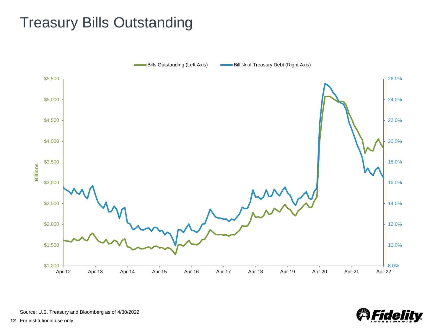# Treasury Bills Outstanding





Source: U.S. Treasury and Bloomberg as of 4/30/2022.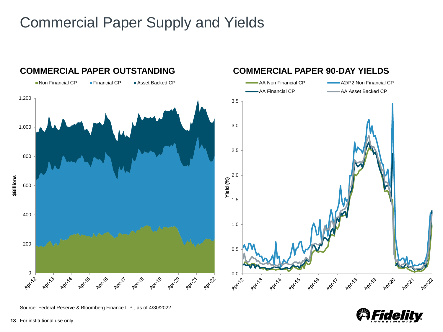# Commercial Paper Supply and Yields



Source: Federal Reserve & Bloomberg Finance L.P., as of 4/30/2022.

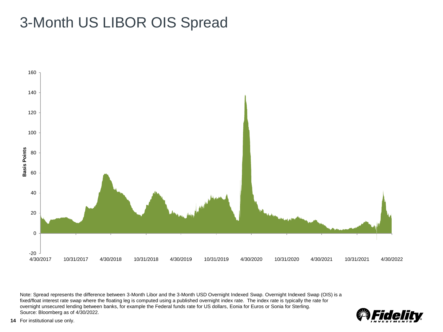# 3-Month US LIBOR OIS Spread



Note: Spread represents the difference between 3-Month Libor and the 3-Month USD Overnight Indexed Swap. Overnight Indexed Swap (OIS) is a fixed/float interest rate swap where the floating leg is computed using a published overnight index rate. The index rate is typically the rate for overnight unsecured lending between banks, for example the Federal funds rate for US dollars, Eonia for Euros or Sonia for Sterling. Source: Bloomberg as of 4/30/2022.

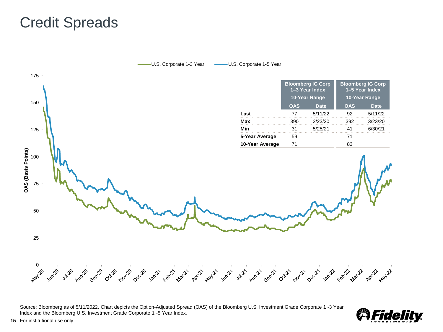## Credit Spreads



Source: Bloomberg as of 5/11/2022. Chart depicts the Option-Adjusted Spread (OAS) of the Bloomberg U.S. Investment Grade Corporate 1 -3 Year Index and the Bloomberg U.S. Investment Grade Corporate 1 -5 Year Index.

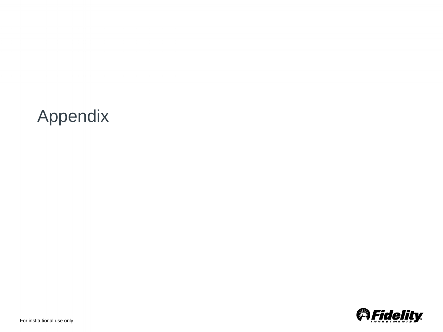